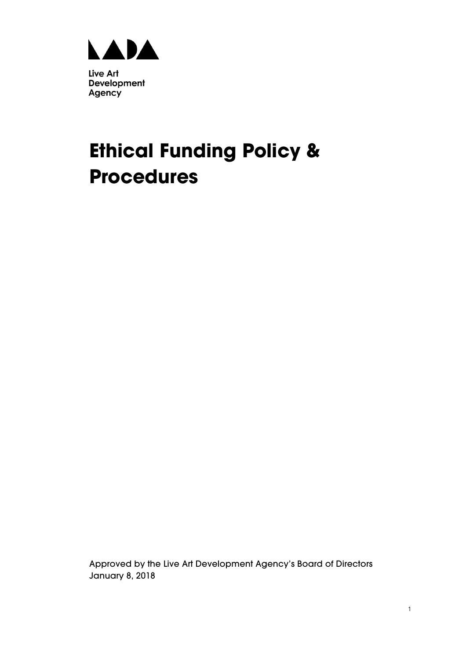

# **Ethical Funding Policy & Procedures**

Approved by the Live Art Development Agency's Board of Directors January 8, 2018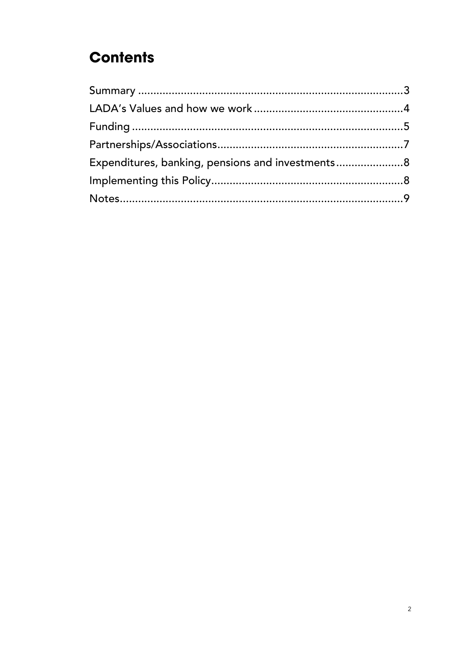# **Contents**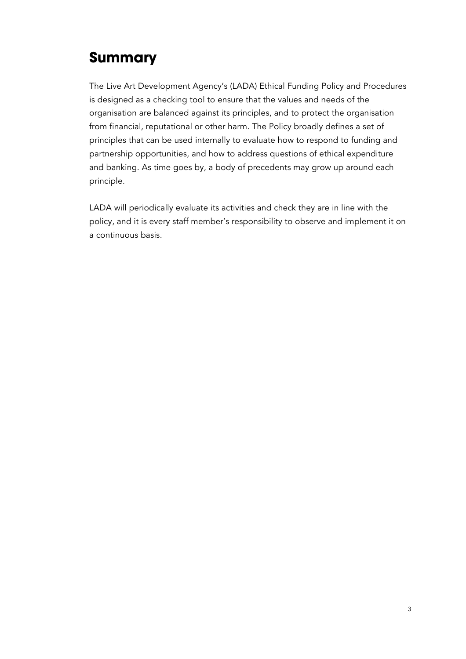# **Summary**

The Live Art Development Agency's (LADA) Ethical Funding Policy and Procedures is designed as a checking tool to ensure that the values and needs of the organisation are balanced against its principles, and to protect the organisation from financial, reputational or other harm. The Policy broadly defines a set of principles that can be used internally to evaluate how to respond to funding and partnership opportunities, and how to address questions of ethical expenditure and banking. As time goes by, a body of precedents may grow up around each principle.

LADA will periodically evaluate its activities and check they are in line with the policy, and it is every staff member's responsibility to observe and implement it on a continuous basis.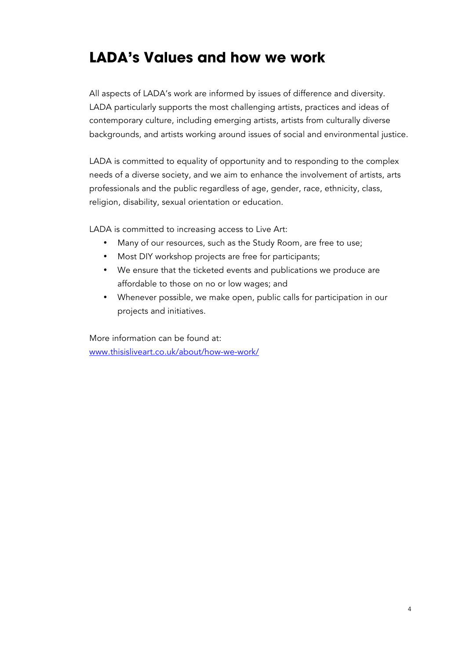### **LADA's Values and how we work**

All aspects of LADA's work are informed by issues of difference and diversity. LADA particularly supports the most challenging artists, practices and ideas of contemporary culture, including emerging artists, artists from culturally diverse backgrounds, and artists working around issues of social and environmental justice.

LADA is committed to equality of opportunity and to responding to the complex needs of a diverse society, and we aim to enhance the involvement of artists, arts professionals and the public regardless of age, gender, race, ethnicity, class, religion, disability, sexual orientation or education.

LADA is committed to increasing access to Live Art:

- Many of our resources, such as the Study Room, are free to use;
- Most DIY workshop projects are free for participants;
- We ensure that the ticketed events and publications we produce are affordable to those on no or low wages; and
- Whenever possible, we make open, public calls for participation in our projects and initiatives.

More information can be found at: www.thisisliveart.co.uk/about/how-we-work/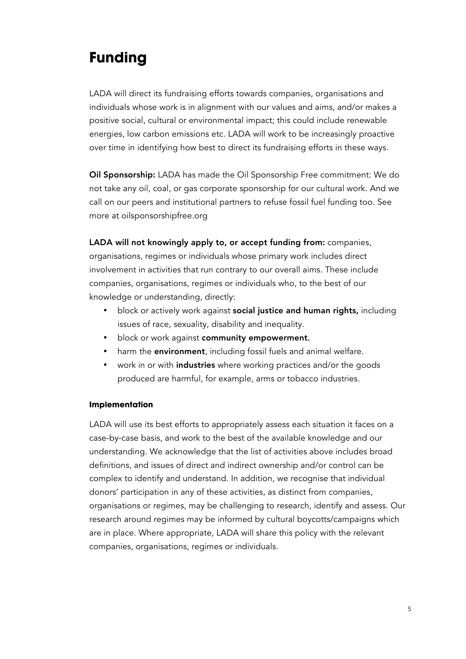# **Funding**

LADA will direct its fundraising efforts towards companies, organisations and individuals whose work is in alignment with our values and aims, and/or makes a positive social, cultural or environmental impact; this could include renewable energies, low carbon emissions etc. LADA will work to be increasingly proactive over time in identifying how best to direct its fundraising efforts in these ways.

Oil Sponsorship: LADA has made the Oil Sponsorship Free commitment: We do not take any oil, coal, or gas corporate sponsorship for our cultural work. And we call on our peers and institutional partners to refuse fossil fuel funding too. See more at oilsponsorshipfree.org

#### LADA will not knowingly apply to, or accept funding from: companies,

organisations, regimes or individuals whose primary work includes direct involvement in activities that run contrary to our overall aims. These include companies, organisations, regimes or individuals who, to the best of our knowledge or understanding, directly:

- block or actively work against social justice and human rights, including issues of race, sexuality, disability and inequality.
- block or work against community empowerment.
- harm the **environment**, including fossil fuels and animal welfare.
- work in or with *industries* where working practices and/or the goods produced are harmful, for example, arms or tobacco industries.

#### **Implementation**

LADA will use its best efforts to appropriately assess each situation it faces on a case-by-case basis, and work to the best of the available knowledge and our understanding. We acknowledge that the list of activities above includes broad definitions, and issues of direct and indirect ownership and/or control can be complex to identify and understand. In addition, we recognise that individual donors' participation in any of these activities, as distinct from companies, organisations or regimes, may be challenging to research, identify and assess. Our research around regimes may be informed by cultural boycotts/campaigns which are in place. Where appropriate, LADA will share this policy with the relevant companies, organisations, regimes or individuals.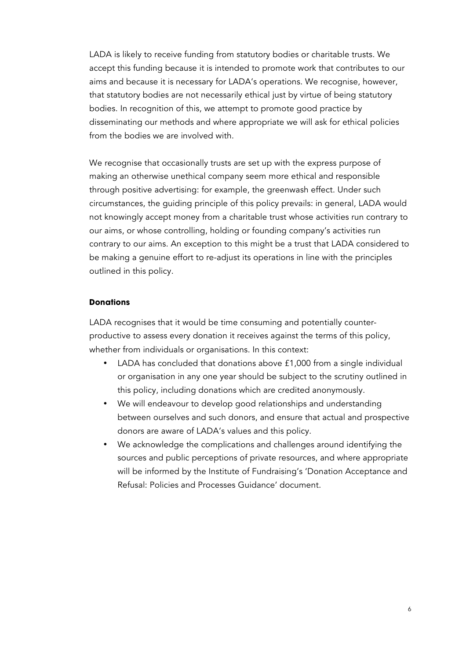LADA is likely to receive funding from statutory bodies or charitable trusts. We accept this funding because it is intended to promote work that contributes to our aims and because it is necessary for LADA's operations. We recognise, however, that statutory bodies are not necessarily ethical just by virtue of being statutory bodies. In recognition of this, we attempt to promote good practice by disseminating our methods and where appropriate we will ask for ethical policies from the bodies we are involved with.

We recognise that occasionally trusts are set up with the express purpose of making an otherwise unethical company seem more ethical and responsible through positive advertising: for example, the greenwash effect. Under such circumstances, the guiding principle of this policy prevails: in general, LADA would not knowingly accept money from a charitable trust whose activities run contrary to our aims, or whose controlling, holding or founding company's activities run contrary to our aims. An exception to this might be a trust that LADA considered to be making a genuine effort to re-adjust its operations in line with the principles outlined in this policy.

#### **Donations**

LADA recognises that it would be time consuming and potentially counterproductive to assess every donation it receives against the terms of this policy, whether from individuals or organisations. In this context:

- LADA has concluded that donations above £1,000 from a single individual or organisation in any one year should be subject to the scrutiny outlined in this policy, including donations which are credited anonymously.
- We will endeavour to develop good relationships and understanding between ourselves and such donors, and ensure that actual and prospective donors are aware of LADA's values and this policy.
- We acknowledge the complications and challenges around identifying the sources and public perceptions of private resources, and where appropriate will be informed by the Institute of Fundraising's 'Donation Acceptance and Refusal: Policies and Processes Guidance' document.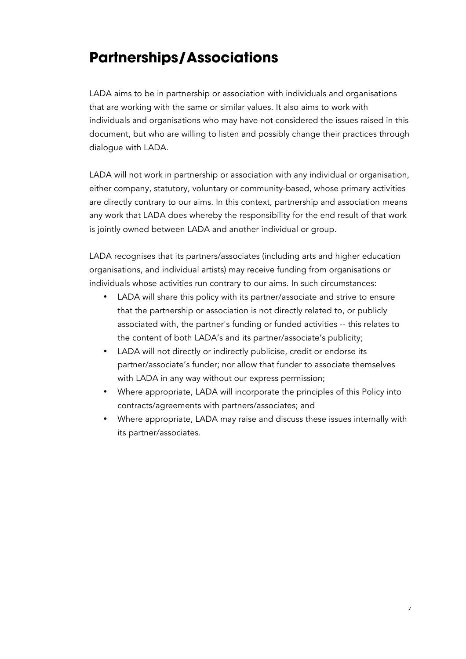### **Partnerships/Associations**

LADA aims to be in partnership or association with individuals and organisations that are working with the same or similar values. It also aims to work with individuals and organisations who may have not considered the issues raised in this document, but who are willing to listen and possibly change their practices through dialogue with LADA.

LADA will not work in partnership or association with any individual or organisation, either company, statutory, voluntary or community-based, whose primary activities are directly contrary to our aims. In this context, partnership and association means any work that LADA does whereby the responsibility for the end result of that work is jointly owned between LADA and another individual or group.

LADA recognises that its partners/associates (including arts and higher education organisations, and individual artists) may receive funding from organisations or individuals whose activities run contrary to our aims. In such circumstances:

- LADA will share this policy with its partner/associate and strive to ensure that the partnership or association is not directly related to, or publicly associated with, the partner's funding or funded activities -- this relates to the content of both LADA's and its partner/associate's publicity;
- LADA will not directly or indirectly publicise, credit or endorse its partner/associate's funder; nor allow that funder to associate themselves with LADA in any way without our express permission;
- Where appropriate, LADA will incorporate the principles of this Policy into contracts/agreements with partners/associates; and
- Where appropriate, LADA may raise and discuss these issues internally with its partner/associates.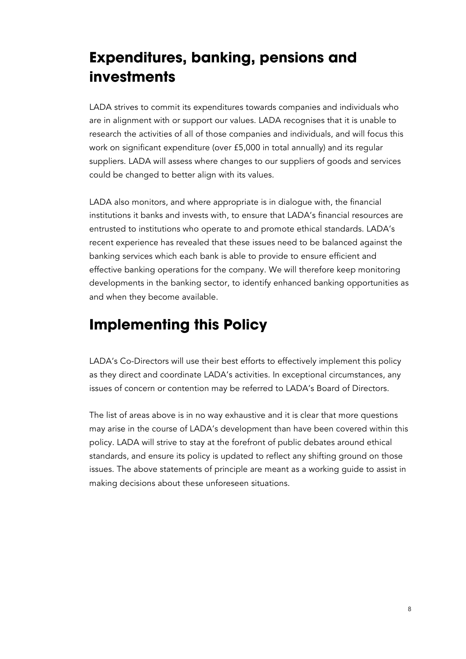# **Expenditures, banking, pensions and investments**

LADA strives to commit its expenditures towards companies and individuals who are in alignment with or support our values. LADA recognises that it is unable to research the activities of all of those companies and individuals, and will focus this work on significant expenditure (over £5,000 in total annually) and its regular suppliers. LADA will assess where changes to our suppliers of goods and services could be changed to better align with its values.

LADA also monitors, and where appropriate is in dialogue with, the financial institutions it banks and invests with, to ensure that LADA's financial resources are entrusted to institutions who operate to and promote ethical standards. LADA's recent experience has revealed that these issues need to be balanced against the banking services which each bank is able to provide to ensure efficient and effective banking operations for the company. We will therefore keep monitoring developments in the banking sector, to identify enhanced banking opportunities as and when they become available.

### **Implementing this Policy**

LADA's Co-Directors will use their best efforts to effectively implement this policy as they direct and coordinate LADA's activities. In exceptional circumstances, any issues of concern or contention may be referred to LADA's Board of Directors.

The list of areas above is in no way exhaustive and it is clear that more questions may arise in the course of LADA's development than have been covered within this policy. LADA will strive to stay at the forefront of public debates around ethical standards, and ensure its policy is updated to reflect any shifting ground on those issues. The above statements of principle are meant as a working guide to assist in making decisions about these unforeseen situations.